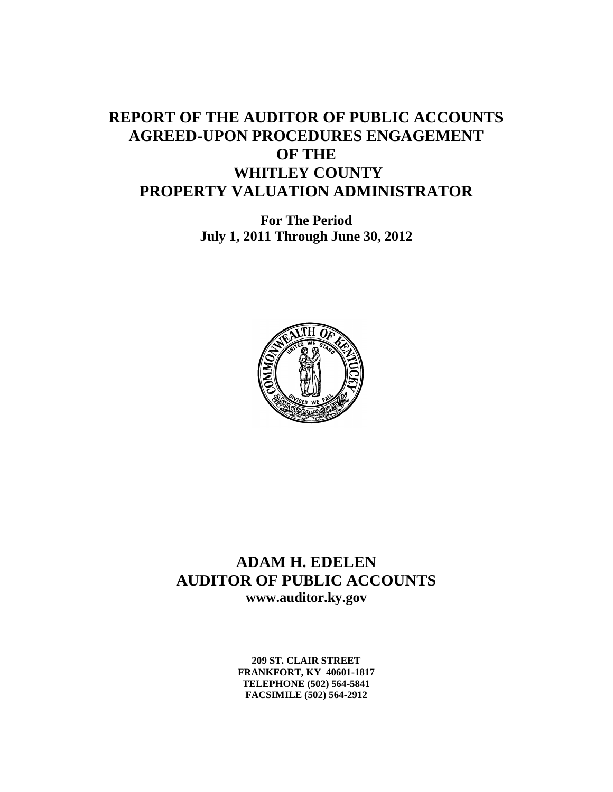# **REPORT OF THE AUDITOR OF PUBLIC ACCOUNTS AGREED-UPON PROCEDURES ENGAGEMENT OF THE WHITLEY COUNTY PROPERTY VALUATION ADMINISTRATOR**

**For The Period July 1, 2011 Through June 30, 2012**



### **ADAM H. EDELEN AUDITOR OF PUBLIC ACCOUNTS www.auditor.ky.gov**

**209 ST. CLAIR STREET FRANKFORT, KY 40601-1817 TELEPHONE (502) 564-5841 FACSIMILE (502) 564-2912**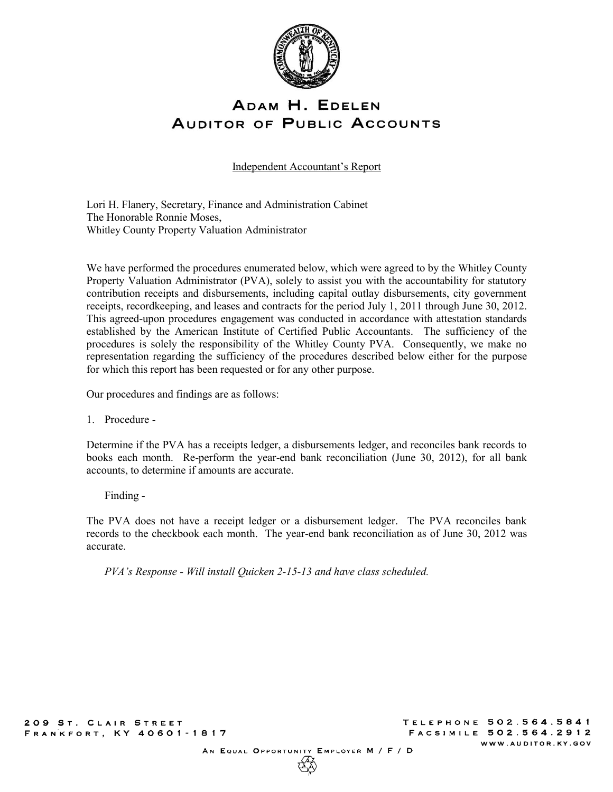

## ADAM H. EDELEN **AUDITOR OF PUBLIC ACCOUNTS**

Independent Accountant's Report

Lori H. Flanery, Secretary, Finance and Administration Cabinet The Honorable Ronnie Moses, Whitley County Property Valuation Administrator

We have performed the procedures enumerated below, which were agreed to by the Whitley County Property Valuation Administrator (PVA), solely to assist you with the accountability for statutory contribution receipts and disbursements, including capital outlay disbursements, city government receipts, recordkeeping, and leases and contracts for the period July 1, 2011 through June 30, 2012. This agreed-upon procedures engagement was conducted in accordance with attestation standards established by the American Institute of Certified Public Accountants. The sufficiency of the procedures is solely the responsibility of the Whitley County PVA. Consequently, we make no representation regarding the sufficiency of the procedures described below either for the purpose for which this report has been requested or for any other purpose.

Our procedures and findings are as follows:

1. Procedure -

Determine if the PVA has a receipts ledger, a disbursements ledger, and reconciles bank records to books each month. Re-perform the year-end bank reconciliation (June 30, 2012), for all bank accounts, to determine if amounts are accurate.

Finding -

The PVA does not have a receipt ledger or a disbursement ledger. The PVA reconciles bank records to the checkbook each month. The year-end bank reconciliation as of June 30, 2012 was accurate.

*PVA's Response - Will install Quicken 2-15-13 and have class scheduled.*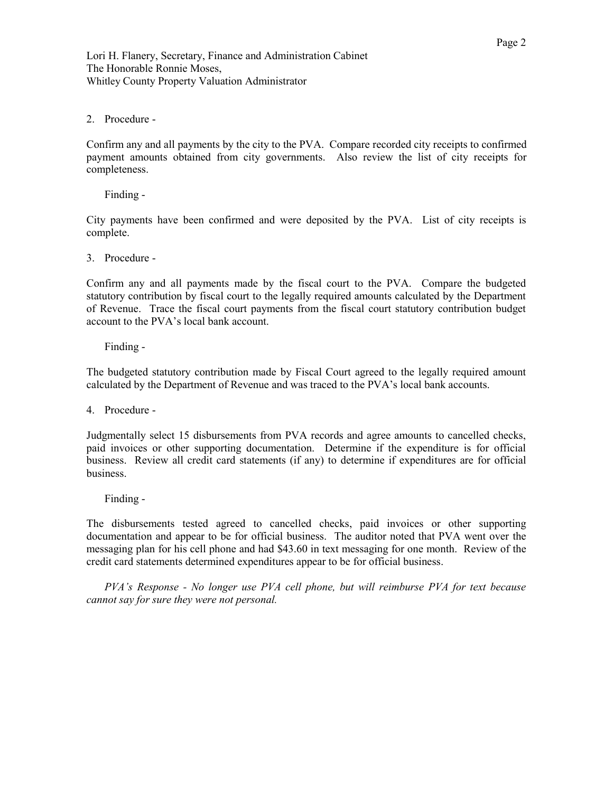### 2. Procedure -

Confirm any and all payments by the city to the PVA. Compare recorded city receipts to confirmed payment amounts obtained from city governments. Also review the list of city receipts for completeness.

Finding -

City payments have been confirmed and were deposited by the PVA. List of city receipts is complete.

3. Procedure -

Confirm any and all payments made by the fiscal court to the PVA. Compare the budgeted statutory contribution by fiscal court to the legally required amounts calculated by the Department of Revenue. Trace the fiscal court payments from the fiscal court statutory contribution budget account to the PVA's local bank account.

Finding -

The budgeted statutory contribution made by Fiscal Court agreed to the legally required amount calculated by the Department of Revenue and was traced to the PVA's local bank accounts.

4. Procedure -

Judgmentally select 15 disbursements from PVA records and agree amounts to cancelled checks, paid invoices or other supporting documentation. Determine if the expenditure is for official business. Review all credit card statements (if any) to determine if expenditures are for official business.

Finding -

The disbursements tested agreed to cancelled checks, paid invoices or other supporting documentation and appear to be for official business. The auditor noted that PVA went over the messaging plan for his cell phone and had \$43.60 in text messaging for one month. Review of the credit card statements determined expenditures appear to be for official business.

*PVA's Response - No longer use PVA cell phone, but will reimburse PVA for text because cannot say for sure they were not personal.*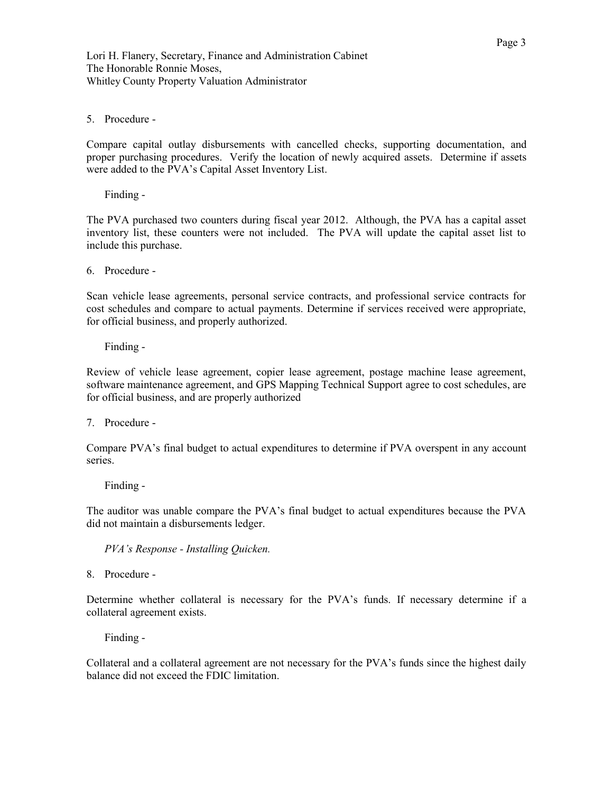Lori H. Flanery, Secretary, Finance and Administration Cabinet The Honorable Ronnie Moses, Whitley County Property Valuation Administrator

### 5. Procedure -

Compare capital outlay disbursements with cancelled checks, supporting documentation, and proper purchasing procedures. Verify the location of newly acquired assets. Determine if assets were added to the PVA's Capital Asset Inventory List.

Finding -

The PVA purchased two counters during fiscal year 2012. Although, the PVA has a capital asset inventory list, these counters were not included. The PVA will update the capital asset list to include this purchase.

6. Procedure -

Scan vehicle lease agreements, personal service contracts, and professional service contracts for cost schedules and compare to actual payments. Determine if services received were appropriate, for official business, and properly authorized.

Finding -

Review of vehicle lease agreement, copier lease agreement, postage machine lease agreement, software maintenance agreement, and GPS Mapping Technical Support agree to cost schedules, are for official business, and are properly authorized

7. Procedure -

Compare PVA's final budget to actual expenditures to determine if PVA overspent in any account series.

Finding -

The auditor was unable compare the PVA's final budget to actual expenditures because the PVA did not maintain a disbursements ledger.

*PVA's Response - Installing Quicken.* 

8. Procedure -

Determine whether collateral is necessary for the PVA's funds. If necessary determine if a collateral agreement exists.

Finding -

Collateral and a collateral agreement are not necessary for the PVA's funds since the highest daily balance did not exceed the FDIC limitation.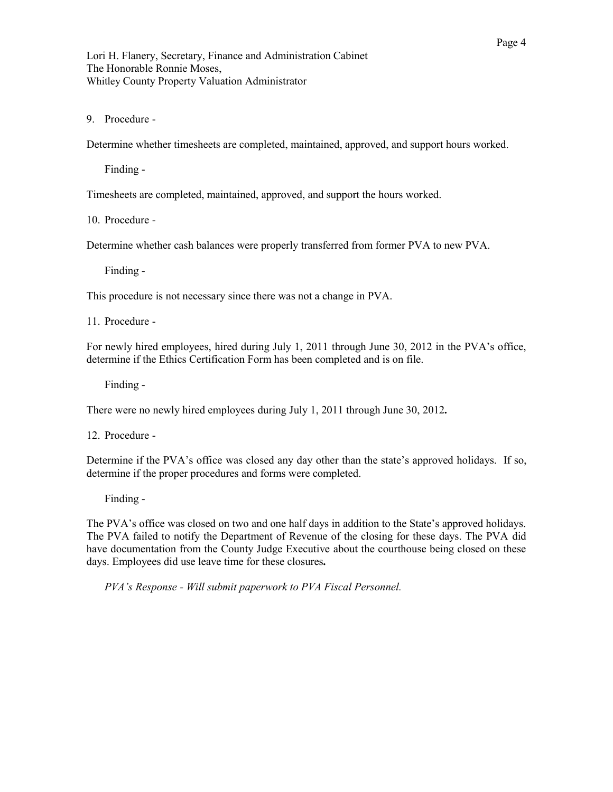Lori H. Flanery, Secretary, Finance and Administration Cabinet The Honorable Ronnie Moses, Whitley County Property Valuation Administrator

9. Procedure -

Determine whether timesheets are completed, maintained, approved, and support hours worked.

Finding -

Timesheets are completed, maintained, approved, and support the hours worked.

10. Procedure -

Determine whether cash balances were properly transferred from former PVA to new PVA.

Finding -

This procedure is not necessary since there was not a change in PVA.

11. Procedure -

For newly hired employees, hired during July 1, 2011 through June 30, 2012 in the PVA's office, determine if the Ethics Certification Form has been completed and is on file.

Finding -

There were no newly hired employees during July 1, 2011 through June 30, 2012*.* 

12. Procedure -

Determine if the PVA's office was closed any day other than the state's approved holidays. If so, determine if the proper procedures and forms were completed.

Finding -

The PVA's office was closed on two and one half days in addition to the State's approved holidays. The PVA failed to notify the Department of Revenue of the closing for these days. The PVA did have documentation from the County Judge Executive about the courthouse being closed on these days. Employees did use leave time for these closures*.* 

*PVA's Response - Will submit paperwork to PVA Fiscal Personnel.*